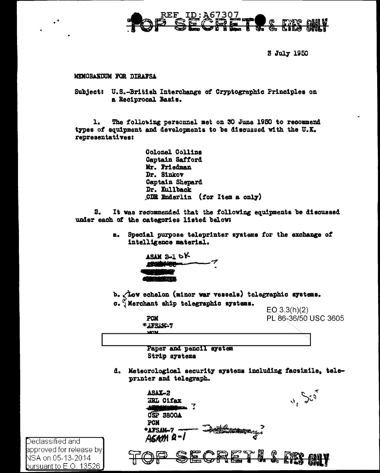

3 July 1950

#### MEMORANDUM FOR DIRAFSA

Subject: U.S.-British Interchange of Cryptographic Principles on a Reciprocal Basis.

The following personnel met on 30 June 1950 to recommend 1. types of equipment and developments to be discussed with the U.K. representatives:

> Colonel Collins Captain Safford Mr. Friedman Dr. Sinkov Captain Shepard Dr. Kullback CDR Enderlin (for Item a only)

 $2.$ It was recommended that the following equipments be discussed under each of the categories listed below:

> Special purpose teleprinter systems for the exchange of a. intelligence material.



**PCM** する下文に加えて **MOM** 

b. Aow echelon (minor war vessels) telegraphic systems. c.  $\tilde{y}$ Merchant ship telegraphic systems.

 $EO$  3.3(h)(2) PL 86-36/50 USC 3605

Paper and pencil system Strip systems

d. Meteorological security systems including facsimile, teleprinter and telegraph.

| ASAX-2<br><b>NRL Cifax</b>                                          |    |      |               |
|---------------------------------------------------------------------|----|------|---------------|
| <b>3800A</b><br>CSP<br>PCM<br>*AFSAM-7<br>ा स्वत<br><b>ASAM 2-1</b> |    |      |               |
| Ø                                                                   | ଢ଼ |      | 91 T.<br>32 J |
| v un                                                                | We | 医非面积 |               |

Declassified and approved for release by| NSA on 05-13-2014 <u>bursuant to E.O. 13526 ,</u>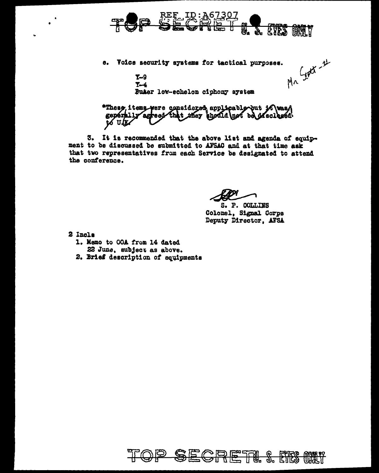

Mr Septi - 11 e. Voice security systems for tactical purposes.

 $T-9$  $Y-4$ Buker low-echelon ciphony system

\*These, items were considered applicable but it was A generally agreed that they should not be ofsciented to U.K

3. It is recommended that the above list and agenda of equipment to be discussed be submitted to AFSAC and at that time ask that two representatives from each Service be designated to attend the conference.

S. P. COLLINS Colonel, Signal Corps Deputy Director, AFSA

- 2 Incls
	- 1. Memo to OOA from 14 dated
		- 22 June, subject as above.
	- 2. Brief description of equipments

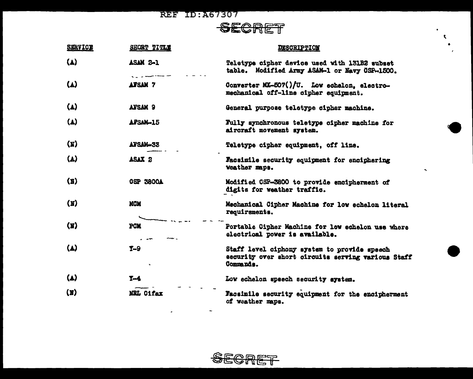## SECRET

å.  $\mathbf{R}$ 

 $\tilde{\phantom{a}}$ 

| <b>SERVICE</b>                | SHORT TITLE       | <b>DESCRIPTION</b>                                                                                              |
|-------------------------------|-------------------|-----------------------------------------------------------------------------------------------------------------|
| $\mathbf{(\mathbf{\Lambda})}$ | <b>ASAM 2-1</b>   | Teletype cipher device used with 131B2 subset<br>table. Modified Army ASAM-1 or Navy OSP-1500.                  |
| $\mathbf{A}$                  | <b>AFSAM 7</b>    | Converter MX-507()/U. Low echelon, electro-<br>mechanical off-line cipher equipment.                            |
| $(\Lambda)$                   | <b>AFSAM 9</b>    | General purpose teletype cipher machine.                                                                        |
| $\mathbf{L}$                  | <b>AFSAN-15</b>   | Fully synchronous teletype cipher machine for<br>aircraft movement system.                                      |
| $(\mathbf{N})$                | AFSAM-33          | Teletype cipher equipment, off line.                                                                            |
| $\mathbf{A}$                  | ASAX <sub>2</sub> | Facsimile security equipment for enciphering<br>weather maps.                                                   |
| $(\mathbf{X})$                | <b>OSP 3800A</b>  | Modified CSP-3800 to provide encipherment of<br>digits for weather traffic.                                     |
| $(\mathbf{N})$                | <b>MCM</b>        | Mechanical Cipher Machine for low echelon literal<br>requirements.                                              |
| (Y)                           | <b>PCM</b>        | Portable Cipher Machine for low echelon use where<br>electrical power is available.                             |
| $\mathbf{A}$                  | $T - 9$           | Staff level ciphony system to provide speech<br>security over short circuits serving various Staff<br>Commands. |
| $\mathbf{(\Delta)}$           | $Y-4$             | Low echelon speech security system.                                                                             |
| $(\mathbf{x})$                | <b>NRL Cifax</b>  | Facsimile security equipment for the encipherment<br>of weather maps.                                           |

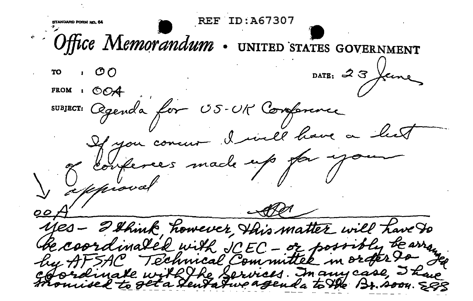ID:A67307 Office Memorandum UNITED STATES GOVERNMENT DATE:  $3$  feen TO **FROM** SUBJECT: Cegenda for US P Conference I will have If you Lonferees made up for yo yes - I think, however, this matter will have to Gecoordinated with JCEC - or post why tear Technical Committee in order tree HF 5AP inate with the Services. In any case, I have Tatwo agenda to the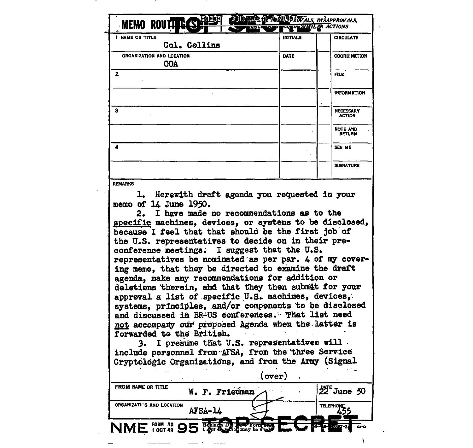| <b>I NAME OR TITLE</b>                                                                                                                                                                                                                                                                                                                                                                                                                                                                                                                                                                                                                                                                                                                                                                                                                                                                                                       | <b>INITIALS</b> | <b>CIRCULATE</b>                            |
|------------------------------------------------------------------------------------------------------------------------------------------------------------------------------------------------------------------------------------------------------------------------------------------------------------------------------------------------------------------------------------------------------------------------------------------------------------------------------------------------------------------------------------------------------------------------------------------------------------------------------------------------------------------------------------------------------------------------------------------------------------------------------------------------------------------------------------------------------------------------------------------------------------------------------|-----------------|---------------------------------------------|
| Col. Collins                                                                                                                                                                                                                                                                                                                                                                                                                                                                                                                                                                                                                                                                                                                                                                                                                                                                                                                 |                 |                                             |
| ORGANIZATION AND LOCATION<br><b>OOA</b>                                                                                                                                                                                                                                                                                                                                                                                                                                                                                                                                                                                                                                                                                                                                                                                                                                                                                      | <b>DATE</b>     | <b>COORDINATION</b>                         |
| $\mathbf{z}$                                                                                                                                                                                                                                                                                                                                                                                                                                                                                                                                                                                                                                                                                                                                                                                                                                                                                                                 |                 | <b>FILE</b>                                 |
|                                                                                                                                                                                                                                                                                                                                                                                                                                                                                                                                                                                                                                                                                                                                                                                                                                                                                                                              |                 | <b>INFORMATION</b>                          |
| 3                                                                                                                                                                                                                                                                                                                                                                                                                                                                                                                                                                                                                                                                                                                                                                                                                                                                                                                            |                 | <b>NECESSARY</b><br><b>ACTION</b>           |
|                                                                                                                                                                                                                                                                                                                                                                                                                                                                                                                                                                                                                                                                                                                                                                                                                                                                                                                              |                 | <b>NOTE AND</b><br><b>RETURN</b>            |
| 4                                                                                                                                                                                                                                                                                                                                                                                                                                                                                                                                                                                                                                                                                                                                                                                                                                                                                                                            |                 | <b>SEE ME</b>                               |
|                                                                                                                                                                                                                                                                                                                                                                                                                                                                                                                                                                                                                                                                                                                                                                                                                                                                                                                              |                 | <b>SIGNATURE</b>                            |
| 1. Herewith draft agenda you requested in your<br>memo of 14 June 1950.                                                                                                                                                                                                                                                                                                                                                                                                                                                                                                                                                                                                                                                                                                                                                                                                                                                      |                 |                                             |
| 2. I have made no recommendations as to the<br>specific machines, devices, or systems to be disclosed,<br>because I feel that that should be the first job of<br>the U.S. representatives to decide on in their pre-<br>conference meetings. I suggest that the U.S.<br>representatives be nominated as per par. 4 of my cover-<br>ing memo, that they be directed to examine the draft<br>agenda, make any recommendations for addition or<br>deletions therein, and that they then submit for your<br>approval a list of specific U.S. machines, devices,<br>systems, principles, and/or components to be disclosed<br>and discussed in BR-US conferences. That list need<br>not accompany our proposed Agenda when the latter is<br>forwarded to the British.<br>I presume that U.S. representatives will.<br>include personnel from AFSA, from the three Service<br>Cryptologic Organizations, and from the Army (Signal | (over)          |                                             |
| FROM NAME OR TITLE<br>W. F. Friedman                                                                                                                                                                                                                                                                                                                                                                                                                                                                                                                                                                                                                                                                                                                                                                                                                                                                                         |                 | $22^{\epsilon}$ June 50<br>TELEPHONE<br>455 |

 $\sim$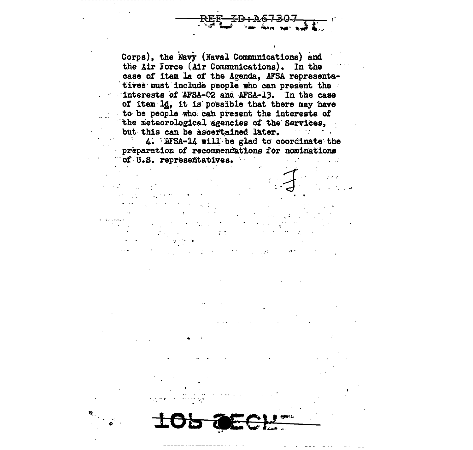Corps), the Navy (Naval Communications) and the Air Force (Air Communications). In the case of item la of the Agenda, AFSA representatives must include people who can present the interests of AFSA-02 and AFSA-13. In the case of item ld, it is possible that there may have to be people who can present the interests of the meteorological agencies of the Services, but this can be ascertained later.  $\mathcal{O}(\mathcal{O}_\mathcal{A})$  , and  $\mathcal{O}(\mathcal{O}_\mathcal{A})$ 

4. AFSA-14 will be glad to coordinate the preparation of recommendations for nominations of U.S. representatives.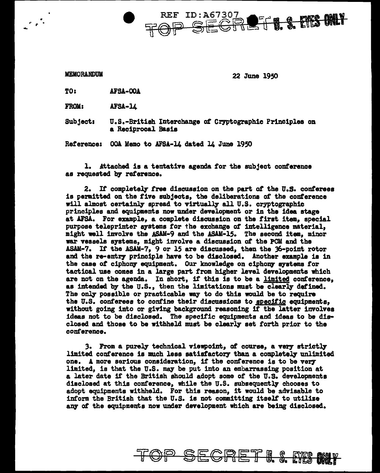**REF ID:A6730** THE ETS ONLY SECF

 $e^{\frac{1}{2}x}$ 

MEMORANDUM 22 June 1950

TO: AFSA-OOA

FROM: AFSA-14

Subject: U.S.-British Interchange of Cryptographic Principles on a Reciprocal Basia

Reterence: OOA Memo to AFSA-14 dated l4 June 1950

1. Attached is a tentative agenda for the subject conference as requested by reference.

2. *It* completeq tree discussion on the part *ot* the u.s. conferees is permitted on the five subjects, the deliberations of the conference will almost certainly spread to virtually all U.S. cryptographic principles and equipments now under development or in the idea stage at AFSA. For example, a complete discussion on the first item, special purpose teleprinter systems for the exchange of intelligence material, might well involve the ASAM-9 and the ASAM-15. The second item, minor war vessels systems, might imrolve a discussion of the PCM and the ASAM-7. If the ASAM-7, 9 or 15 are discussed, then the 36-point rotor and the re-entry principle have to be disclosed. Another example is in the case of ciphony equipment. Our knowledge on ciphony systems for tactical use comes in a large part from higher level developments which are not on the agenda. In short, if this is to be a limited conference, as intended by the U.S., then the limitations must be clearly defined. The only possible or practicable way to do this would be to require the U.S. conferees to confine their discussions to specific equipments, without going into or giving background reasoning if the latter involves ideas not to be disclosed. The specific equipments and ideas to be disclosed and those to be withheld must be clearly set forth prior to the conference.

3. From a purely technical viewpoint, *ot* course, a very strictly limited conference is much less satisfactory than a completely unlimited one. A more serious consideration, it the conference is to be verylimited, is that the U.S. may be put into an embarrassing position at a later date if the British should adopt soma *ot* the U.S. developments disclosed at this conference, while the U.S. subsequently chooses to adopt equipments withheld. For this reason, it would be advisable to inform the British that the U.S. is not committing itself' to utilize any of the equipments now under development which are being disclosed.

SECRET I. & MC MI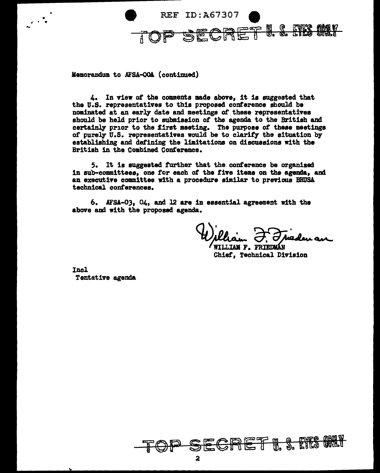

Memorandum to AFSA-OOA (continued)

....

4. In view of the comments made above, it is suggested that the U.S. representatives to this proposed conference should be nominated at an early date and meetings *ot* these representatives should be held prior to submission of the agenda to the British and certainly prior to the first meeting. The purpose of these meetings of purely  $U.S.$  representatives would be to clarify the situation by establishing and defining the limitations on discussions with the British in the Combined Conference.

5. It is suggested further that the conference be organized in sub-comitteee, one for each *ot* the five items on the agenda, and an executive committee with a procedure similar to previous BRD'SA technical conferences.

6. AFSA-03, 04, and 12 are in essential agreement with the above and with the proposed agenda.

*Alliam J. T. Jueden an*<br>WILLIAM F. FRIEDMAN<br>Chief. Technical Division

Incl Tentative agenda

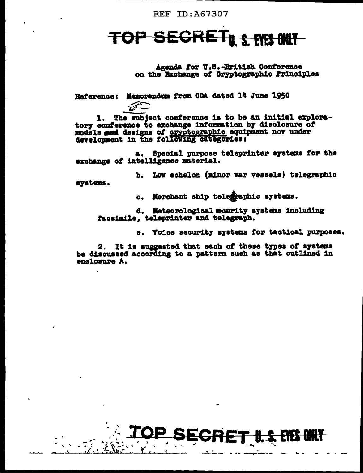#### **TOP FILLS FYFS ANLY** ecxe

Agenda for U.S.-British Conference on the Exchange of Cryptographic Principles

Reference: Memorandum from 00A dated 14 June 1950

The subject conference is to be an initial explora-1. tory conference to exchange information by disclosure of models and designs of <u>cryptographic</u> equipment now under<br>development in the following categories:

Special purpose teleprinter systems for the a, exchange of intelligence material.

b. Low echelon (minor war vessels) telegraphic systems.

> Merchant ship telegraphic systems. G.

d. Meteorological mourity systems including facsimile. teleprinter and telegraph.

e. Voice security systems for tactical purposes.

It is suggested that each of these types of systems 2. be discussed according to a pattern such as that outlined in enclosure A.

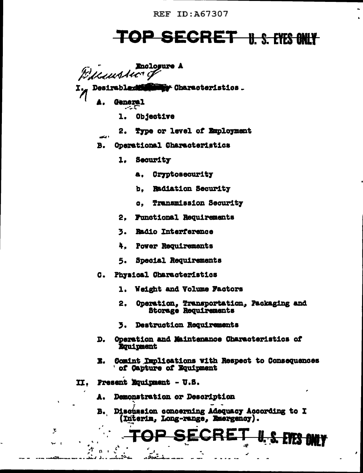# TOP SECRET 11. S. EYES ONLY

**Enclosure A** Bellaussic of

Desirabledd **May Characteristics.** 

> **General** . . . .

and a

- Objective ı.
- Type or level of Employment 2.
- Operational Characteristics **B.** 
	- 1. Security
		- Cryptosecurity **a.**
		- **Radiation Security** ъ.
		- **Transmission Security**  $\mathbf{G}$
	- **Functional Requirements** 2.
	- 3. **Radio Interference**
	- 4. **Pover Requirements**
	- Special Requirements 5.
- Physical Characteristics  $\mathbf{C}$ .
	- 1. Weight and Volume Factors
	- $2<sub>1</sub>$ Operation, Transportation, Packaging and **Storage Requirements**
	- 3. Destruction Requirements
- D. Operation and Maintenance Characteristics of **Rouinment**
- Comint Implications with Respect to Consequences I. of Capture of Equipment
- Present Equipment U.S. II.

 $\mathcal{I}$ 

- Demonstration or Description Λ.
- Discussion concerning Adequacy According to I В. (Interim, Long-range, Emergency).

U. S. EYES ONLY